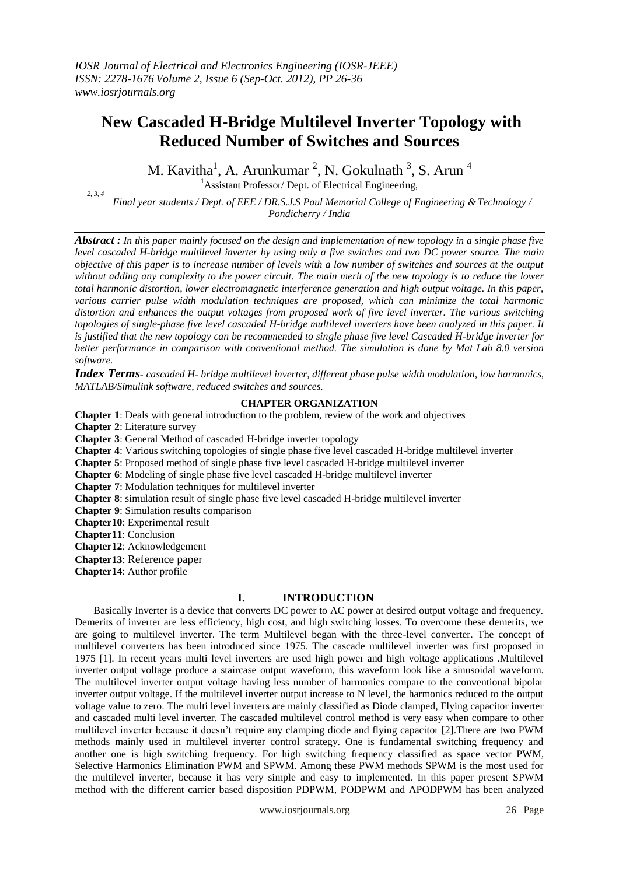# **New Cascaded H-Bridge Multilevel Inverter Topology with Reduced Number of Switches and Sources**

M. Kavitha<sup>1</sup>, A. Arunkumar<sup>2</sup>, N. Gokulnath<sup>3</sup>, S. Arun<sup>4</sup>

 $<sup>1</sup>$ Assistant Professor/ Dept. of Electrical Engineering,</sup>

*2, 3, 4 Final year students / Dept. of EEE / DR.S.J.S Paul Memorial College of Engineering &Technology / Pondicherry / India*

*Abstract : In this paper mainly focused on the design and implementation of new topology in a single phase five level cascaded H-bridge multilevel inverter by using only a five switches and two DC power source. The main objective of this paper is to increase number of levels with a low number of switches and sources at the output without adding any complexity to the power circuit. The main merit of the new topology is to reduce the lower total harmonic distortion, lower electromagnetic interference generation and high output voltage. In this paper, various carrier pulse width modulation techniques are proposed, which can minimize the total harmonic distortion and enhances the output voltages from proposed work of five level inverter. The various switching topologies of single-phase five level cascaded H-bridge multilevel inverters have been analyzed in this paper. It is justified that the new topology can be recommended to single phase five level Cascaded H-bridge inverter for better performance in comparison with conventional method. The simulation is done by Mat Lab 8.0 version software.*

*Index Terms- cascaded H- bridge multilevel inverter, different phase pulse width modulation, low harmonics, MATLAB/Simulink software, reduced switches and sources.*

## **CHAPTER ORGANIZATION**

**Chapter 1**: Deals with general introduction to the problem, review of the work and objectives **Chapter 2**: Literature survey **Chapter 3**: General Method of cascaded H-bridge inverter topology **Chapter 4**: Various switching topologies of single phase five level cascaded H-bridge multilevel inverter **Chapter 5**: Proposed method of single phase five level cascaded H-bridge multilevel inverter **Chapter 6**: Modeling of single phase five level cascaded H-bridge multilevel inverter **Chapter 7**: Modulation techniques for multilevel inverter **Chapter 8**: simulation result of single phase five level cascaded H-bridge multilevel inverter **Chapter 9**: Simulation results comparison **Chapter10**: Experimental result **Chapter11**: Conclusion **Chapter12**: Acknowledgement **Chapter13**: Reference paper **Chapter14**: Author profile

## **I. INTRODUCTION**

Basically Inverter is a device that converts DC power to AC power at desired output voltage and frequency. Demerits of inverter are less efficiency, high cost, and high switching losses. To overcome these demerits, we are going to multilevel inverter. The term Multilevel began with the three-level converter. The concept of multilevel converters has been introduced since 1975. The cascade multilevel inverter was first proposed in 1975 [1]. In recent years multi level inverters are used high power and high voltage applications .Multilevel inverter output voltage produce a staircase output waveform, this waveform look like a sinusoidal waveform. The multilevel inverter output voltage having less number of harmonics compare to the conventional bipolar inverter output voltage. If the multilevel inverter output increase to N level, the harmonics reduced to the output voltage value to zero. The multi level inverters are mainly classified as Diode clamped, Flying capacitor inverter and cascaded multi level inverter. The cascaded multilevel control method is very easy when compare to other multilevel inverter because it doesn't require any clamping diode and flying capacitor [2].There are two PWM methods mainly used in multilevel inverter control strategy. One is fundamental switching frequency and another one is high switching frequency. For high switching frequency classified as space vector PWM, Selective Harmonics Elimination PWM and SPWM. Among these PWM methods SPWM is the most used for the multilevel inverter, because it has very simple and easy to implemented. In this paper present SPWM method with the different carrier based disposition PDPWM, PODPWM and APODPWM has been analyzed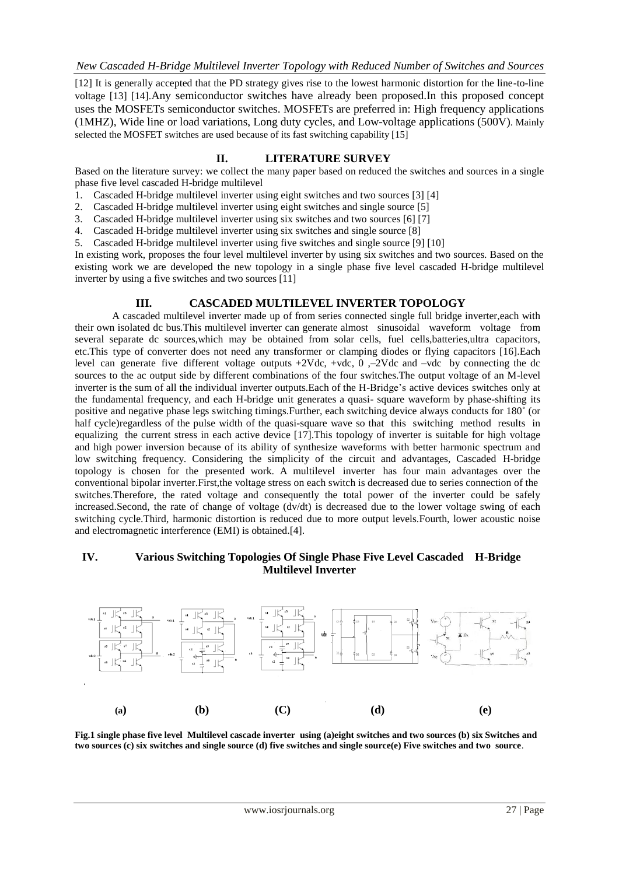[12] It is generally accepted that the PD strategy gives rise to the lowest harmonic distortion for the line-to-line voltage [13] [14].Any semiconductor switches have already been proposed.In this proposed concept uses the MOSFETs semiconductor switches. MOSFETs are preferred in: High frequency applications (1MHZ), Wide line or load variations, Long duty cycles, and Low-voltage applications (500V). Mainly selected the MOSFET switches are used because of its fast switching capability [15]

## **II. LITERATURE SURVEY**

Based on the literature survey: we collect the many paper based on reduced the switches and sources in a single phase five level cascaded H-bridge multilevel

- 1. Cascaded H-bridge multilevel inverter using eight switches and two sources [3] [4]
- 2. Cascaded H-bridge multilevel inverter using eight switches and single source [5]
- 3. Cascaded H-bridge multilevel inverter using six switches and two sources [6] [7]
- 4. Cascaded H-bridge multilevel inverter using six switches and single source [8]
- 5. Cascaded H-bridge multilevel inverter using five switches and single source [9] [10]

In existing work, proposes the four level multilevel inverter by using six switches and two sources. Based on the existing work we are developed the new topology in a single phase five level cascaded H-bridge multilevel inverter by using a five switches and two sources [11]

#### **III. CASCADED MULTILEVEL INVERTER TOPOLOGY**

A cascaded multilevel inverter made up of from series connected single full bridge inverter,each with their own isolated dc bus.This multilevel inverter can generate almost sinusoidal waveform voltage from several separate dc sources,which may be obtained from solar cells, fuel cells,batteries,ultra capacitors, etc.This type of converter does not need any transformer or clamping diodes or flying capacitors [16].Each level can generate five different voltage outputs  $+2Vdc$ ,  $+vdc$ ,  $0, -2Vdc$  and  $-vdc$  by connecting the dc sources to the ac output side by different combinations of the four switches.The output voltage of an M-level inverter is the sum of all the individual inverter outputs.Each of the H-Bridge's active devices switches only at the fundamental frequency, and each H-bridge unit generates a quasi- square waveform by phase-shifting its positive and negative phase legs switching timings.Further, each switching device always conducts for 180˚ (or half cycle)regardless of the pulse width of the quasi-square wave so that this switching method results in equalizing the current stress in each active device [17].This topology of inverter is suitable for high voltage and high power inversion because of its ability of synthesize waveforms with better harmonic spectrum and low switching frequency. Considering the simplicity of the circuit and advantages, Cascaded H-bridge topology is chosen for the presented work. A multilevel inverter has four main advantages over the conventional bipolar inverter.First,the voltage stress on each switch is decreased due to series connection of the switches.Therefore, the rated voltage and consequently the total power of the inverter could be safely increased.Second, the rate of change of voltage (dv/dt) is decreased due to the lower voltage swing of each switching cycle.Third, harmonic distortion is reduced due to more output levels.Fourth, lower acoustic noise and electromagnetic interference (EMI) is obtained.[4].

## **IV. Various Switching Topologies Of Single Phase Five Level Cascaded H-Bridge Multilevel Inverter**



**Fig.1 single phase five level Multilevel cascade inverter using (a)eight switches and two sources (b) six Switches and two sources (c) six switches and single source (d) five switches and single source(e) Five switches and two source**.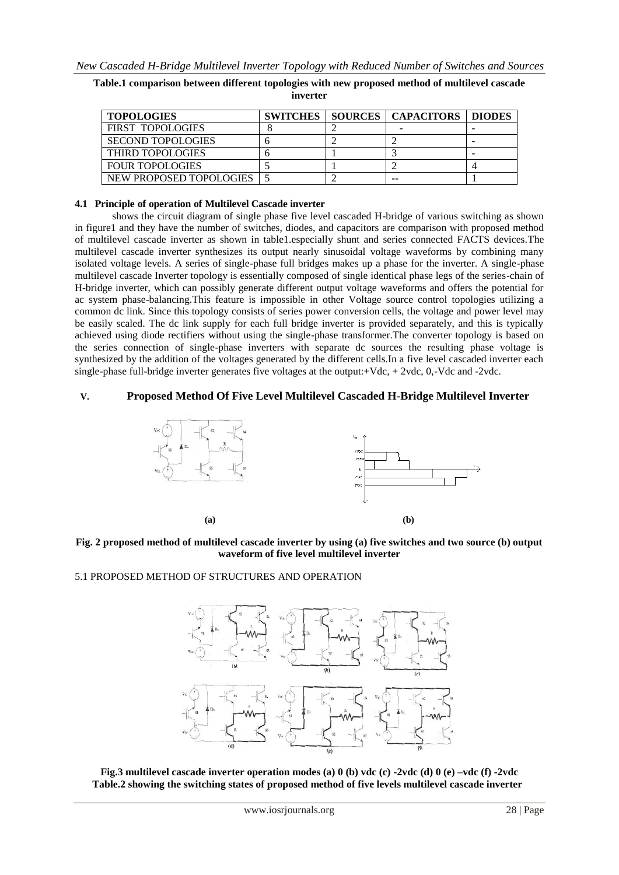| <b>TOPOLOGIES</b>        |  | <b>SWITCHES   SOURCES   CAPACITORS   DIODES</b> |  |
|--------------------------|--|-------------------------------------------------|--|
| FIRST TOPOLOGIES         |  |                                                 |  |
| <b>SECOND TOPOLOGIES</b> |  |                                                 |  |
| THIRD TOPOLOGIES         |  |                                                 |  |
| <b>FOUR TOPOLOGIES</b>   |  |                                                 |  |
| NEW PROPOSED TOPOLOGIES  |  | --                                              |  |

**Table.1 comparison between different topologies with new proposed method of multilevel cascade inverter**

## **4.1 Principle of operation of Multilevel Cascade inverter**

shows the circuit diagram of single phase five level cascaded H-bridge of various switching as shown in figure1 and they have the number of switches, diodes, and capacitors are comparison with proposed method of multilevel cascade inverter as shown in table1.especially shunt and series connected FACTS devices.The multilevel cascade inverter synthesizes its output nearly sinusoidal voltage waveforms by combining many isolated voltage levels. A series of single-phase full bridges makes up a phase for the inverter. A single-phase multilevel cascade Inverter topology is essentially composed of single identical phase legs of the series-chain of H-bridge inverter, which can possibly generate different output voltage waveforms and offers the potential for ac system phase-balancing.This feature is impossible in other Voltage source control topologies utilizing a common dc link. Since this topology consists of series power conversion cells, the voltage and power level may be easily scaled. The dc link supply for each full bridge inverter is provided separately, and this is typically achieved using diode rectifiers without using the single-phase transformer.The converter topology is based on the series connection of single-phase inverters with separate dc sources the resulting phase voltage is synthesized by the addition of the voltages generated by the different cells.In a five level cascaded inverter each single-phase full-bridge inverter generates five voltages at the output:+Vdc, + 2vdc, 0,-Vdc and -2vdc.

#### **V. Proposed Method Of Five Level Multilevel Cascaded H-Bridge Multilevel Inverter**





## 5.1 PROPOSED METHOD OF STRUCTURES AND OPERATION



**Fig.3 multilevel cascade inverter operation modes (a) 0 (b) vdc (c) -2vdc (d) 0 (e) –vdc (f) -2vdc Table.2 showing the switching states of proposed method of five levels multilevel cascade inverter**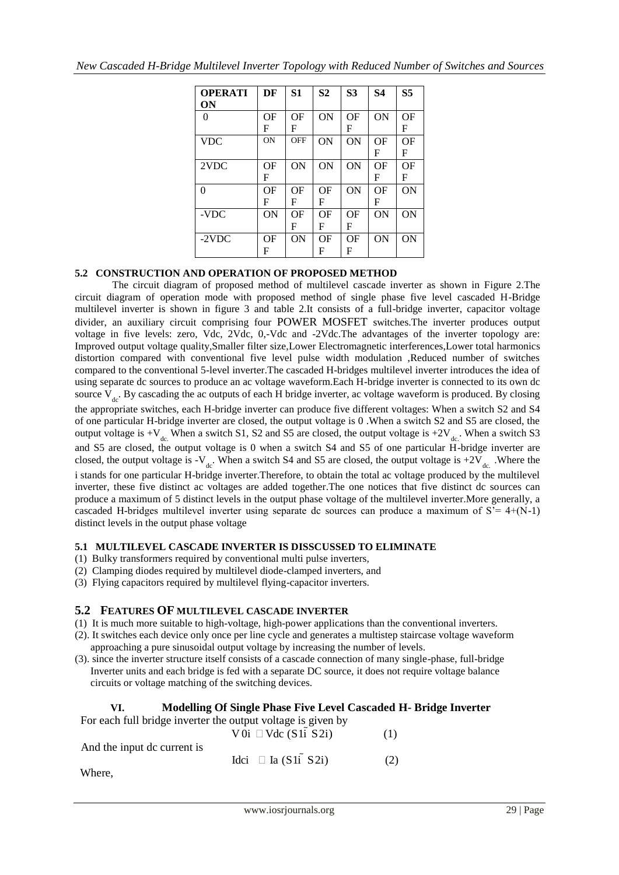| DF        | S <sub>1</sub> | S <sub>2</sub> | S <sub>3</sub> | <b>S4</b> | S <sub>5</sub> |
|-----------|----------------|----------------|----------------|-----------|----------------|
|           |                |                |                |           |                |
| ΟF        | OF             | ON             | OF             | <b>ON</b> | OF             |
| F         | F              |                | F              |           | F              |
| <b>ON</b> | <b>OFF</b>     | ON             | ON             | OF        | OF             |
|           |                |                |                | F         | F              |
| ΟF        | ON             | ON             | ON             | OF        | OF             |
| F         |                |                |                | F         | F              |
| OF        | OF             | OF             | ON             | OF        | ON             |
| F         | F              | F              |                | F         |                |
| ON        | ΟF             | OF             | ΟF             | ON        | ON             |
|           | F              | $\mathbf F$    | F              |           |                |
| ΟF        | ON             | OF             | OF             | ON        | ON             |
| F         |                | F              | F              |           |                |
|           |                |                |                |           |                |

## **5.2 CONSTRUCTION AND OPERATION OF PROPOSED METHOD**

The circuit diagram of proposed method of multilevel cascade inverter as shown in Figure 2.The circuit diagram of operation mode with proposed method of single phase five level cascaded H-Bridge multilevel inverter is shown in figure 3 and table 2.It consists of a full-bridge inverter, capacitor voltage divider, an auxiliary circuit comprising four POWER MOSFET switches.The inverter produces output voltage in five levels: zero, Vdc, 2Vdc, 0,-Vdc and -2Vdc.The advantages of the inverter topology are: Improved output voltage quality,Smaller filter size,Lower Electromagnetic interferences,Lower total harmonics distortion compared with conventional five level pulse width modulation ,Reduced number of switches compared to the conventional 5-level inverter.The cascaded H-bridges multilevel inverter introduces the idea of using separate dc sources to produce an ac voltage waveform.Each H-bridge inverter is connected to its own dc source  $V_{dc}$ . By cascading the ac outputs of each H bridge inverter, ac voltage waveform is produced. By closing the appropriate switches, each H-bridge inverter can produce five different voltages: When a switch S2 and S4 of one particular H-bridge inverter are closed, the output voltage is 0 .When a switch S2 and S5 are closed, the output voltage is  $+V_{dc}$ . When a switch S1, S2 and S5 are closed, the output voltage is  $+2V_{dc}$ . When a switch S3 and S5 are closed, the output voltage is 0 when a switch S4 and S5 of one particular H-bridge inverter are closed, the output voltage is  $-V_{dc}$ . When a switch S4 and S5 are closed, the output voltage is  $+2V_{dc}$ . Where the i stands for one particular H-bridge inverter.Therefore, to obtain the total ac voltage produced by the multilevel inverter, these five distinct ac voltages are added together.The one notices that five distinct dc sources can produce a maximum of 5 distinct levels in the output phase voltage of the multilevel inverter.More generally, a cascaded H-bridges multilevel inverter using separate dc sources can produce a maximum of  $S' = 4+(N-1)$ distinct levels in the output phase voltage

## **5.1 MULTILEVEL CASCADE INVERTER IS DISSCUSSED TO ELIMINATE**

- (1) Bulky transformers required by conventional multi pulse inverters,
- (2) Clamping diodes required by multilevel diode-clamped inverters, and
- (3) Flying capacitors required by multilevel flying-capacitor inverters.

## **5.2 FEATURES OF MULTILEVEL CASCADE INVERTER**

- (1) It is much more suitable to high-voltage, high-power applications than the conventional inverters.
- (2). It switches each device only once per line cycle and generates a multistep staircase voltage waveform approaching a pure sinusoidal output voltage by increasing the number of levels.
- (3). since the inverter structure itself consists of a cascade connection of many single-phase, full-bridge Inverter units and each bridge is fed with a separate DC source, it does not require voltage balance circuits or voltage matching of the switching devices.

## **VI. Modelling Of Single Phase Five Level Cascaded H- Bridge Inverter**

For each full bridge inverter the output voltage is given by

|                             | $V0i$ $\Box$ Vdc (S1i S2i) | (1) |
|-----------------------------|----------------------------|-----|
| And the input dc current is | Idci $\Box$ Ia (S1i S2i)   | (2) |
| Where,                      |                            |     |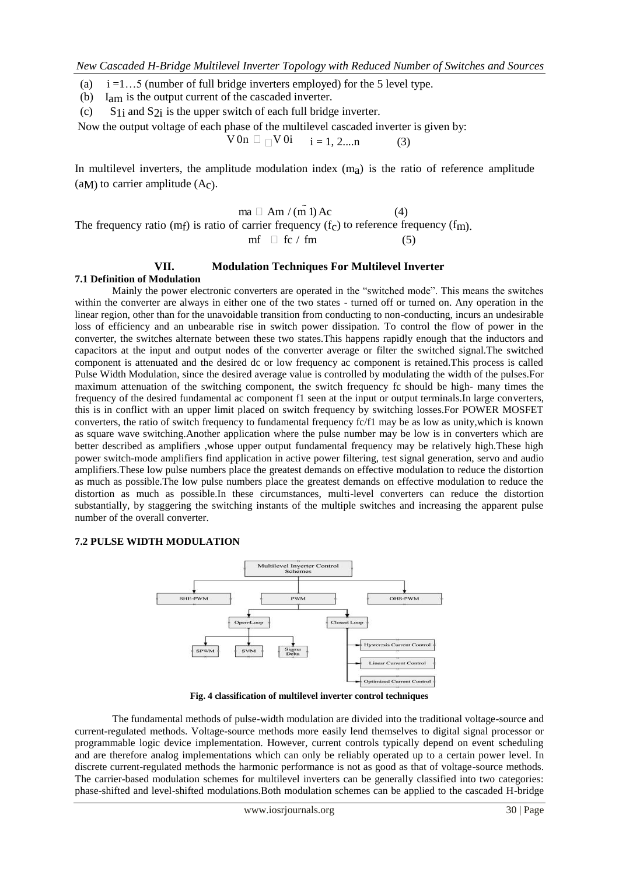(a)  $i = 1...5$  (number of full bridge inverters employed) for the 5 level type.

(b) Iam is the output current of the cascaded inverter.

(c) S<sub>1i</sub> and S<sub>2i</sub> is the upper switch of each full bridge inverter.

Now the output voltage of each phase of the multilevel cascaded inverter is given by:

 $V 0n \Box \Box V 0i \quad i = 1, 2,...n$  (3)

In multilevel inverters, the amplitude modulation index  $(m<sub>a</sub>)$  is the ratio of reference amplitude (aM) to carrier amplitude  $(A<sub>c</sub>)$ .

 $ma \Box Am / (m \dot{1}) Ac$  (4) The frequency ratio (mf) is ratio of carrier frequency  $(f_c)$  to reference frequency  $(f_m)$ .  $mf \square fc / fm$  (5)

## **VII. Modulation Techniques For Multilevel Inverter**

## **7.1 Definition of Modulation**

Mainly the power electronic converters are operated in the "switched mode". This means the switches within the converter are always in either one of the two states - turned off or turned on. Any operation in the linear region, other than for the unavoidable transition from conducting to non-conducting, incurs an undesirable loss of efficiency and an unbearable rise in switch power dissipation. To control the flow of power in the converter, the switches alternate between these two states.This happens rapidly enough that the inductors and capacitors at the input and output nodes of the converter average or filter the switched signal.The switched component is attenuated and the desired dc or low frequency ac component is retained.This process is called Pulse Width Modulation, since the desired average value is controlled by modulating the width of the pulses.For maximum attenuation of the switching component, the switch frequency fc should be high- many times the frequency of the desired fundamental ac component f1 seen at the input or output terminals.In large converters, this is in conflict with an upper limit placed on switch frequency by switching losses.For POWER MOSFET converters, the ratio of switch frequency to fundamental frequency fc/f1 may be as low as unity,which is known as square wave switching.Another application where the pulse number may be low is in converters which are better described as amplifiers ,whose upper output fundamental frequency may be relatively high.These high power switch-mode amplifiers find application in active power filtering, test signal generation, servo and audio amplifiers.These low pulse numbers place the greatest demands on effective modulation to reduce the distortion as much as possible.The low pulse numbers place the greatest demands on effective modulation to reduce the distortion as much as possible.In these circumstances, multi-level converters can reduce the distortion substantially, by staggering the switching instants of the multiple switches and increasing the apparent pulse number of the overall converter.

## **7.2 PULSE WIDTH MODULATION**



**Fig. 4 classification of multilevel inverter control techniques**

The fundamental methods of pulse-width modulation are divided into the traditional voltage-source and current-regulated methods. Voltage-source methods more easily lend themselves to digital signal processor or programmable logic device implementation. However, current controls typically depend on event scheduling and are therefore analog implementations which can only be reliably operated up to a certain power level. In discrete current-regulated methods the harmonic performance is not as good as that of voltage-source methods. The carrier-based modulation schemes for multilevel inverters can be generally classified into two categories: phase-shifted and level-shifted modulations.Both modulation schemes can be applied to the cascaded H-bridge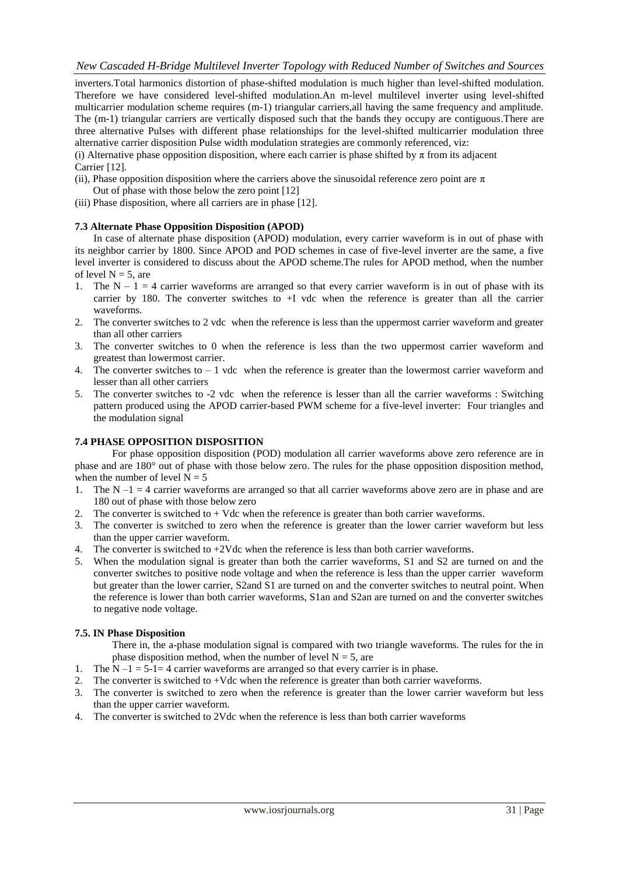inverters.Total harmonics distortion of phase-shifted modulation is much higher than level-shifted modulation. Therefore we have considered level-shifted modulation.An m-level multilevel inverter using level-shifted multicarrier modulation scheme requires (m-1) triangular carriers,all having the same frequency and amplitude. The (m-1) triangular carriers are vertically disposed such that the bands they occupy are contiguous.There are three alternative Pulses with different phase relationships for the level-shifted multicarrier modulation three alternative carrier disposition Pulse width modulation strategies are commonly referenced, viz:

(i) Alternative phase opposition disposition, where each carrier is phase shifted by  $\pi$  from its adjacent Carrier [12].

- (ii), Phase opposition disposition where the carriers above the sinusoidal reference zero point are  $\pi$ Out of phase with those below the zero point [12]
- (iii) Phase disposition, where all carriers are in phase [12].

## **7.3 Alternate Phase Opposition Disposition (APOD)**

In case of alternate phase disposition (APOD) modulation, every carrier waveform is in out of phase with its neighbor carrier by 1800. Since APOD and POD schemes in case of five-level inverter are the same, a five level inverter is considered to discuss about the APOD scheme.The rules for APOD method, when the number of level  $N = 5$ , are

- 1. The  $N 1 = 4$  carrier waveforms are arranged so that every carrier waveform is in out of phase with its carrier by 180. The converter switches to +I vdc when the reference is greater than all the carrier waveforms.
- 2. The converter switches to 2 vdc when the reference is less than the uppermost carrier waveform and greater than all other carriers
- 3. The converter switches to 0 when the reference is less than the two uppermost carrier waveform and greatest than lowermost carrier.
- 4. The converter switches to  $-1$  vdc when the reference is greater than the lowermost carrier waveform and lesser than all other carriers
- 5. The converter switches to -2 vdc when the reference is lesser than all the carrier waveforms : Switching pattern produced using the APOD carrier-based PWM scheme for a five-level inverter: Four triangles and the modulation signal

#### **7.4 PHASE OPPOSITION DISPOSITION**

For phase opposition disposition (POD) modulation all carrier waveforms above zero reference are in phase and are 180° out of phase with those below zero. The rules for the phase opposition disposition method, when the number of level  $N = 5$ 

- 1. The  $N-1 = 4$  carrier waveforms are arranged so that all carrier waveforms above zero are in phase and are 180 out of phase with those below zero
- 2. The converter is switched to + Vdc when the reference is greater than both carrier waveforms.
- 3. The converter is switched to zero when the reference is greater than the lower carrier waveform but less than the upper carrier waveform.
- 4. The converter is switched to  $+2V$ dc when the reference is less than both carrier waveforms.
- 5. When the modulation signal is greater than both the carrier waveforms, S1 and S2 are turned on and the converter switches to positive node voltage and when the reference is less than the upper carrier waveform but greater than the lower carrier, S2and S1 are turned on and the converter switches to neutral point. When the reference is lower than both carrier waveforms, S1an and S2an are turned on and the converter switches to negative node voltage.

## **7.5. IN Phase Disposition**

There in, the a-phase modulation signal is compared with two triangle waveforms. The rules for the in phase disposition method, when the number of level  $N = 5$ , are

- 1. The  $N 1 = 5 1 = 4$  carrier waveforms are arranged so that every carrier is in phase.
- 2. The converter is switched to +Vdc when the reference is greater than both carrier waveforms.
- 3. The converter is switched to zero when the reference is greater than the lower carrier waveform but less than the upper carrier waveform.
- 4. The converter is switched to 2Vdc when the reference is less than both carrier waveforms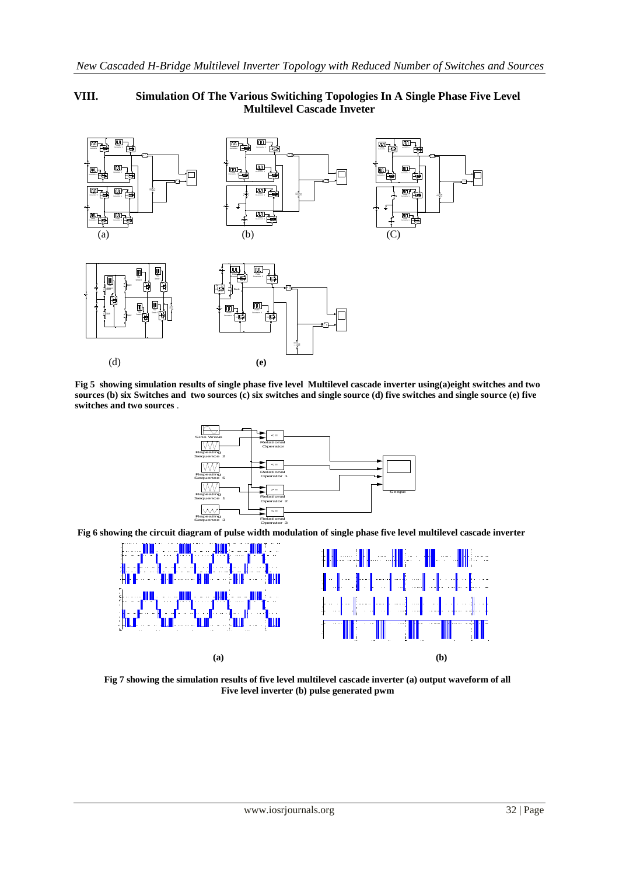## **VIII. Simulation Of The Various Switiching Topologies In A Single Phase Five Level Multilevel Cascade Inveter**



**Fig 5 showing simulation results of single phase five level Multilevel cascade inverter using(a)eight switches and two sources (b) six Switches and two sources (c) six switches and single source (d) five switches and single source (e) five switches and two sources** .



**Fig 6 showing the circuit diagram of pulse width modulation of single phase five level multilevel cascade inverter**



**Fig 7 showing the simulation results of five level multilevel cascade inverter (a) output waveform of all Five level inverter (b) pulse generated pwm**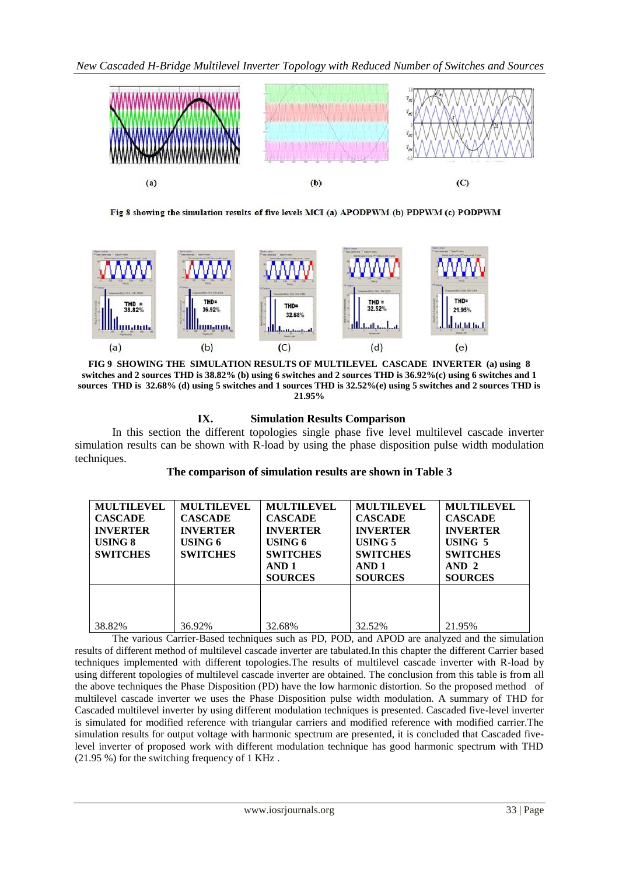

Fig 8 showing the simulation results of five levels MCI (a) APODPWM (b) PDPWM (c) PODPWM



**FIG 9 SHOWING THE SIMULATION RESULTS OF MULTILEVEL CASCADE INVERTER (a) using 8 switches and 2 sources THD is 38.82% (b) using 6 switches and 2 sources THD is 36.92%(c) using 6 switches and 1 sources THD is 32.68% (d) using 5 switches and 1 sources THD is 32.52%(e) using 5 switches and 2 sources THD is 21.95%**

## **IX. Simulation Results Comparison**

In this section the different topologies single phase five level multilevel cascade inverter simulation results can be shown with R-load by using the phase disposition pulse width modulation techniques.

## **The comparison of simulation results are shown in Table 3**

| <b>MULTILEVEL</b><br><b>CASCADE</b><br><b>INVERTER</b><br>USING 8<br><b>SWITCHES</b> | <b>MULTILEVEL</b><br><b>CASCADE</b><br><b>INVERTER</b><br>USING 6<br><b>SWITCHES</b> | <b>MULTILEVEL</b><br><b>CASCADE</b><br><b>INVERTER</b><br>USING 6<br><b>SWITCHES</b><br>AND <sub>1</sub><br><b>SOURCES</b> | <b>MULTILEVEL</b><br><b>CASCADE</b><br><b>INVERTER</b><br>USING 5<br><b>SWITCHES</b><br>AND <sub>1</sub><br><b>SOURCES</b> | <b>MULTILEVEL</b><br><b>CASCADE</b><br><b>INVERTER</b><br>USING 5<br><b>SWITCHES</b><br>AND <sub>2</sub><br><b>SOURCES</b> |
|--------------------------------------------------------------------------------------|--------------------------------------------------------------------------------------|----------------------------------------------------------------------------------------------------------------------------|----------------------------------------------------------------------------------------------------------------------------|----------------------------------------------------------------------------------------------------------------------------|
| 38.82%                                                                               | 36.92%                                                                               | 32.68%                                                                                                                     | 32.52%                                                                                                                     | 21.95%                                                                                                                     |

The various Carrier-Based techniques such as PD, POD, and APOD are analyzed and the simulation results of different method of multilevel cascade inverter are tabulated.In this chapter the different Carrier based techniques implemented with different topologies.The results of multilevel cascade inverter with R-load by using different topologies of multilevel cascade inverter are obtained. The conclusion from this table is from all the above techniques the Phase Disposition (PD) have the low harmonic distortion. So the proposed method of multilevel cascade inverter we uses the Phase Disposition pulse width modulation. A summary of THD for Cascaded multilevel inverter by using different modulation techniques is presented. Cascaded five-level inverter is simulated for modified reference with triangular carriers and modified reference with modified carrier.The simulation results for output voltage with harmonic spectrum are presented, it is concluded that Cascaded fivelevel inverter of proposed work with different modulation technique has good harmonic spectrum with THD (21.95 %) for the switching frequency of 1 KHz .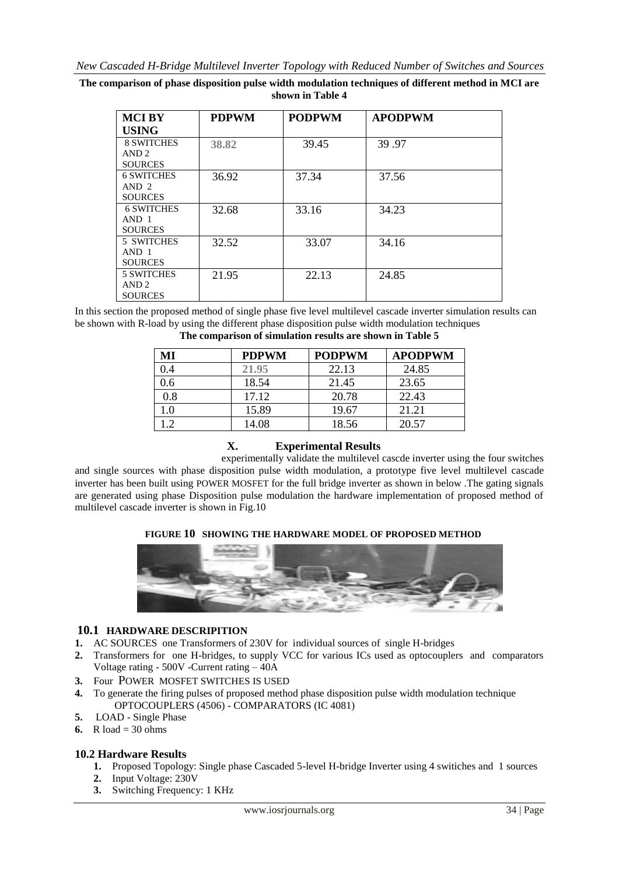**The comparison of phase disposition pulse width modulation techniques of different method in MCI are shown in Table 4**

| <b>MCIBY</b>      | <b>PDPWM</b> | <b>PODPWM</b> | <b>APODPWM</b> |  |
|-------------------|--------------|---------------|----------------|--|
| <b>USING</b>      |              |               |                |  |
| <b>8 SWITCHES</b> | 38.82        | 39.45         | 39.97          |  |
| AND <sub>2</sub>  |              |               |                |  |
| <b>SOURCES</b>    |              |               |                |  |
| <b>6 SWITCHES</b> | 36.92        | 37.34         | 37.56          |  |
| AND <sub>2</sub>  |              |               |                |  |
| <b>SOURCES</b>    |              |               |                |  |
| <b>6 SWITCHES</b> | 32.68        | 33.16         | 34.23          |  |
| AND <sub>1</sub>  |              |               |                |  |
| <b>SOURCES</b>    |              |               |                |  |
| 5 SWITCHES        | 32.52        | 33.07         | 34.16          |  |
| AND <sub>1</sub>  |              |               |                |  |
| <b>SOURCES</b>    |              |               |                |  |
| <b>5 SWITCHES</b> | 21.95        | 22.13         | 24.85          |  |
| AND <sub>2</sub>  |              |               |                |  |
| <b>SOURCES</b>    |              |               |                |  |

In this section the proposed method of single phase five level multilevel cascade inverter simulation results can be shown with R-load by using the different phase disposition pulse width modulation techniques **The comparison of simulation results are shown in Table 5**

| МI  | <b>PDPWM</b> | <b>PODPWM</b> | <b>APODPWM</b> |
|-----|--------------|---------------|----------------|
| 0.4 | 21.95        | 22.13         | 24.85          |
| 0.6 | 18.54        | 21.45         | 23.65          |
| 0.8 | 17.12        | 20.78         | 22.43          |
| 1.0 | 15.89        | 19.67         | 21.21          |
| 1 າ | 14.08        | 18.56         | 20.57          |

## **X. Experimental Results**

experimentally validate the multilevel cascde inverter using the four switches and single sources with phase disposition pulse width modulation, a prototype five level multilevel cascade inverter has been built using POWER MOSFET for the full bridge inverter as shown in below .The gating signals are generated using phase Disposition pulse modulation the hardware implementation of proposed method of multilevel cascade inverter is shown in Fig.10

#### **FIGURE 10 SHOWING THE HARDWARE MODEL OF PROPOSED METHOD**



#### **10.1 HARDWARE DESCRIPITION**

- **1.** AC SOURCES one Transformers of 230V for individual sources of single H-bridges
- **2.** Transformers for one H-bridges, to supply VCC for various ICs used as optocouplers and comparators Voltage rating - 500V -Current rating – 40A
- **3.** Four POWER MOSFET SWITCHES IS USED
- **4.** To generate the firing pulses of proposed method phase disposition pulse width modulation technique OPTOCOUPLERS (4506) - COMPARATORS (IC 4081)
- **5.** LOAD Single Phase
- **6.**  $R \text{ load} = 30 \text{ ohms}$

## **10.2 Hardware Results**

- **1.** Proposed Topology: Single phase Cascaded 5-level H-bridge Inverter using 4 switiches and 1 sources
- **2.** Input Voltage: 230V
- **3.** Switching Frequency: 1 KHz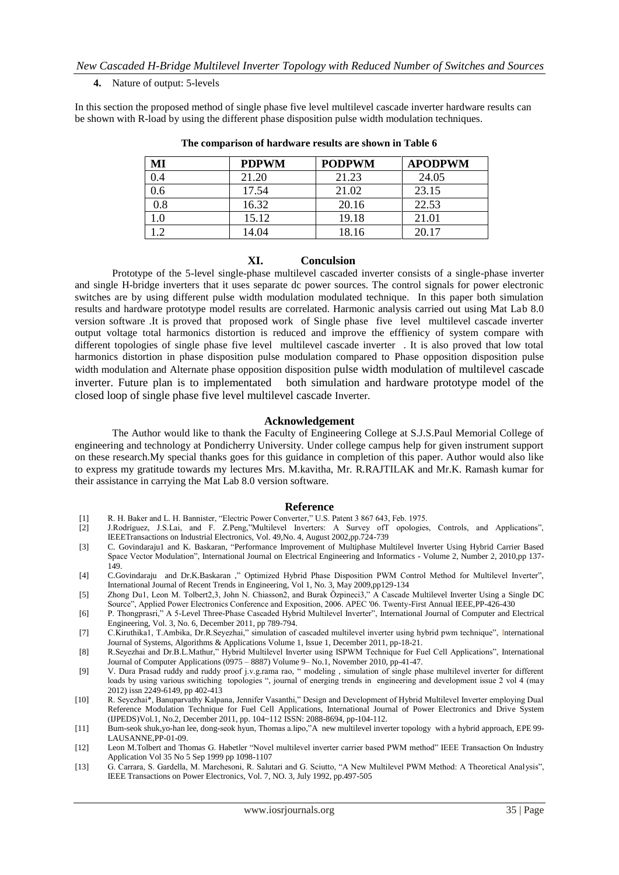#### **4.** Nature of output: 5-levels

In this section the proposed method of single phase five level multilevel cascade inverter hardware results can be shown with R-load by using the different phase disposition pulse width modulation techniques.

| MI  | <b>PDPWM</b> | <b>PODPWM</b> | <b>APODPWM</b> |
|-----|--------------|---------------|----------------|
| 0.4 | 21.20        | 21.23         | 24.05          |
| 0.6 | 17.54        | 21.02         | 23.15          |
| 0.8 | 16.32        | 20.16         | 22.53          |
| 0.1 | 15.12        | 19.18         | 21.01          |
| .2  | 14.04        | 18.16         | 20.17          |

**The comparison of hardware results are shown in Table 6**

#### **XI. Conculsion**

Prototype of the 5-level single-phase multilevel cascaded inverter consists of a single-phase inverter and single H-bridge inverters that it uses separate dc power sources. The control signals for power electronic switches are by using different pulse width modulation modulated technique. In this paper both simulation results and hardware prototype model results are correlated. Harmonic analysis carried out using Mat Lab 8.0 version software .It is proved that proposed work of Single phase five level multilevel cascade inverter output voltage total harmonics distortion is reduced and improve the efffienicy of system compare with different topologies of single phase five level multilevel cascade inverter . It is also proved that low total harmonics distortion in phase disposition pulse modulation compared to Phase opposition disposition pulse width modulation and Alternate phase opposition disposition pulse width modulation of multilevel cascade inverter. Future plan is to implementated both simulation and hardware prototype model of the closed loop of single phase five level multilevel cascade Inverter.

#### **Acknowledgement**

The Author would like to thank the Faculty of Engineering College at S.J.S.Paul Memorial College of engineering and technology at Pondicherry University. Under college campus help for given instrument support on these research.My special thanks goes for this guidance in completion of this paper. Author would also like to express my gratitude towards my lectures Mrs. M.kavitha, Mr*.* R*.*RAJTILAK and Mr.K. Ramash kumar for their assistance in carrying the Mat Lab 8.0 version software.

#### **Reference**

- [1] R. H. Baker and L. H. Bannister, "Electric Power Converter," U.S. Patent 3 867 643, Feb. 1975.
- [2] J.Rodríguez, J.S.Lai, and F. Z.Peng,"Multilevel Inverters: A Survey ofT opologies, Controls, and Applications", IEEETransactions on Industrial Electronics, Vol. 49,No. 4, August 2002,pp.724-739
- [3] C. Govindaraju1 and K. Baskaran, "Performance Improvement of Multiphase Multilevel Inverter Using Hybrid Carrier Based Space Vector Modulation", International Journal on Electrical Engineering and Informatics - Volume 2, Number 2, 2010,pp 137- 149.
- [4] C.Govindaraju and Dr.K.Baskaran ," Optimized Hybrid Phase Disposition PWM Control Method for Multilevel Inverter", International Journal of Recent Trends in Engineering, Vol 1, No. 3, May 2009,pp129-134
- [5] Zhong Du1, Leon M. Tolbert2,3, John N. Chiasson2, and Burak Özpineci3," A Cascade Multilevel Inverter Using a Single DC Source", Applied Power Electronics Conference and Exposition, 2006. APEC '06. Twenty-First Annual IEEE,PP-426-430
- [6] P. Thongprasri," A 5-Level Three-Phase Cascaded Hybrid Multilevel Inverter", International Journal of Computer and Electrical Engineering, Vol. 3, No. 6, December 2011, pp 789-794.
- [7] C.Kiruthika1, T.Ambika, Dr.R.Seyezhai," simulation of cascaded multilevel inverter using hybrid pwm technique", International Journal of Systems, Algorithms & Applications Volume 1, Issue 1, December 2011, pp-18-21.
- [8] R.Seyezhai and Dr.B.L.Mathur," Hybrid Multilevel Inverter using ISPWM Technique for Fuel Cell Applications", International Journal of Computer Applications (0975 – 8887) Volume 9– No.1, November 2010, pp-41-47.
- [9] V. Dura Prasad ruddy and ruddy proof j.v.g.rama rao, " modeling , simulation of single phase multilevel inverter for different loads by using various switiching topologies ", journal of energing trends in engineering and development issue 2 vol 4 (may 2012) issn 2249-6149, pp 402-413
- [10] R. Seyezhai\*, Banuparvathy Kalpana, Jennifer Vasanthi," Design and Development of Hybrid Multilevel Inverter employing Dual Reference Modulation Technique for Fuel Cell Applications, International Journal of Power Electronics and Drive System (IJPEDS)Vol.1, No.2, December 2011, pp. 104~112 ISSN: 2088-8694, pp-104-112.
- [11] Bum-seok shuk,yo-han lee, dong-seok hyun, Thomas a.lipo,"A new multilevel inverter topology with a hybrid approach, EPE 99- LAUSANNE,PP-01-09.
- [12] Leon M.Tolbert and Thomas G. Habetler "Novel multilevel inverter carrier based PWM method" IEEE Transaction On Industry Application Vol 35 No 5 Sep 1999 pp 1098-1107
- [13] G. Carrara, S. Gardella, M. Marchesoni, R. Salutari and G. Sciutto, "A New Multilevel PWM Method: A Theoretical Analysis", IEEE Transactions on Power Electronics, Vol. 7, NO. 3, July 1992, pp.497-505